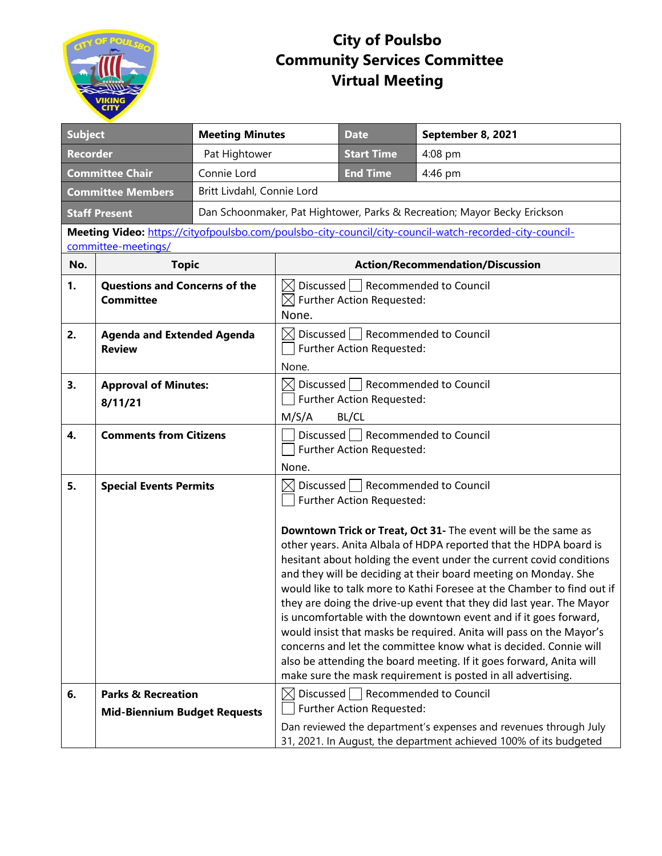

## **City of Poulsbo Community Services Committee Virtual Meeting**

| <b>Subject</b>                                                                                                                 |                                                                      | <b>Meeting Minutes</b>                                                   |                                                                                                    | <b>Date</b>                                                                 | September 8, 2021                                                                                                                                                                                                                                                                                                                                                                                                                                                                                                                                                                                                                                                                                                                                                                     |
|--------------------------------------------------------------------------------------------------------------------------------|----------------------------------------------------------------------|--------------------------------------------------------------------------|----------------------------------------------------------------------------------------------------|-----------------------------------------------------------------------------|---------------------------------------------------------------------------------------------------------------------------------------------------------------------------------------------------------------------------------------------------------------------------------------------------------------------------------------------------------------------------------------------------------------------------------------------------------------------------------------------------------------------------------------------------------------------------------------------------------------------------------------------------------------------------------------------------------------------------------------------------------------------------------------|
| <b>Recorder</b>                                                                                                                |                                                                      | Pat Hightower                                                            |                                                                                                    | <b>Start Time</b>                                                           | 4:08 pm                                                                                                                                                                                                                                                                                                                                                                                                                                                                                                                                                                                                                                                                                                                                                                               |
| <b>Committee Chair</b><br>Connie Lord                                                                                          |                                                                      |                                                                          | <b>End Time</b>                                                                                    | 4:46 pm                                                                     |                                                                                                                                                                                                                                                                                                                                                                                                                                                                                                                                                                                                                                                                                                                                                                                       |
| Britt Livdahl, Connie Lord<br><b>Committee Members</b>                                                                         |                                                                      |                                                                          |                                                                                                    |                                                                             |                                                                                                                                                                                                                                                                                                                                                                                                                                                                                                                                                                                                                                                                                                                                                                                       |
| <b>Staff Present</b>                                                                                                           |                                                                      | Dan Schoonmaker, Pat Hightower, Parks & Recreation; Mayor Becky Erickson |                                                                                                    |                                                                             |                                                                                                                                                                                                                                                                                                                                                                                                                                                                                                                                                                                                                                                                                                                                                                                       |
| Meeting Video: https://cityofpoulsbo.com/poulsbo-city-council/city-council-watch-recorded-city-council-<br>committee-meetings/ |                                                                      |                                                                          |                                                                                                    |                                                                             |                                                                                                                                                                                                                                                                                                                                                                                                                                                                                                                                                                                                                                                                                                                                                                                       |
| No.                                                                                                                            | <b>Topic</b>                                                         |                                                                          | <b>Action/Recommendation/Discussion</b>                                                            |                                                                             |                                                                                                                                                                                                                                                                                                                                                                                                                                                                                                                                                                                                                                                                                                                                                                                       |
| 1.                                                                                                                             | <b>Questions and Concerns of the</b><br><b>Committee</b>             |                                                                          | Discussed   Recommended to Council<br>$\bowtie$<br>$\boxtimes$ Further Action Requested:<br>None.  |                                                                             |                                                                                                                                                                                                                                                                                                                                                                                                                                                                                                                                                                                                                                                                                                                                                                                       |
| 2.                                                                                                                             | <b>Agenda and Extended Agenda</b><br><b>Review</b>                   |                                                                          | Discussed   Recommended to Council<br>$\bowtie$<br>Further Action Requested:<br>None.              |                                                                             |                                                                                                                                                                                                                                                                                                                                                                                                                                                                                                                                                                                                                                                                                                                                                                                       |
| 3.                                                                                                                             | <b>Approval of Minutes:</b><br>8/11/21                               |                                                                          | $\boxtimes$ Discussed $\Box$ Recommended to Council<br>Further Action Requested:<br>M/S/A<br>BL/CL |                                                                             |                                                                                                                                                                                                                                                                                                                                                                                                                                                                                                                                                                                                                                                                                                                                                                                       |
| 4.                                                                                                                             | <b>Comments from Citizens</b>                                        |                                                                          | Discussed   Recommended to Council<br>Further Action Requested:<br>None.                           |                                                                             |                                                                                                                                                                                                                                                                                                                                                                                                                                                                                                                                                                                                                                                                                                                                                                                       |
| 5.                                                                                                                             | <b>Special Events Permits</b>                                        |                                                                          |                                                                                                    | Discussed   Recommended to Council<br>Further Action Requested:             | Downtown Trick or Treat, Oct 31- The event will be the same as<br>other years. Anita Albala of HDPA reported that the HDPA board is<br>hesitant about holding the event under the current covid conditions<br>and they will be deciding at their board meeting on Monday. She<br>would like to talk more to Kathi Foresee at the Chamber to find out if<br>they are doing the drive-up event that they did last year. The Mayor<br>is uncomfortable with the downtown event and if it goes forward,<br>would insist that masks be required. Anita will pass on the Mayor's<br>concerns and let the committee know what is decided. Connie will<br>also be attending the board meeting. If it goes forward, Anita will<br>make sure the mask requirement is posted in all advertising. |
| 6.                                                                                                                             | <b>Parks &amp; Recreation</b><br><b>Mid-Biennium Budget Requests</b> |                                                                          |                                                                                                    | $\boxtimes$ Discussed   Recommended to Council<br>Further Action Requested: | Dan reviewed the department's expenses and revenues through July<br>31, 2021. In August, the department achieved 100% of its budgeted                                                                                                                                                                                                                                                                                                                                                                                                                                                                                                                                                                                                                                                 |